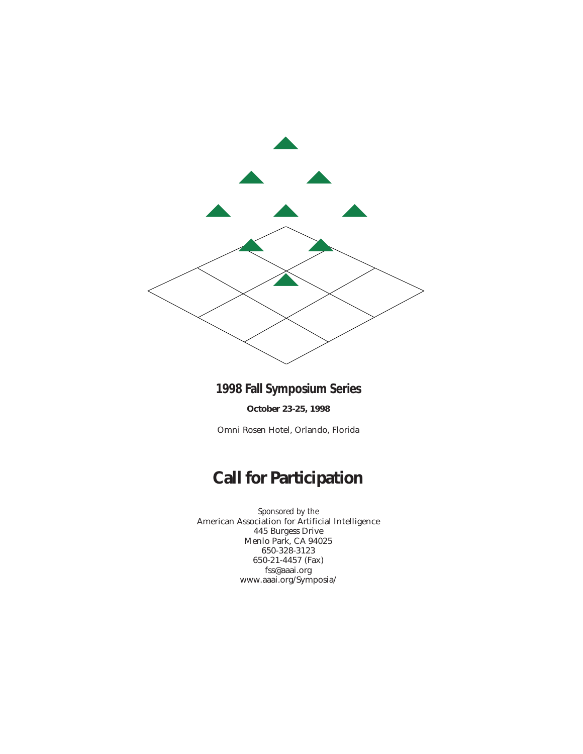

**1998 Fall Symposium Series** 

**October 23-25, 1998**

Omni Rosen Hotel, Orlando, Florida

# **Call for Participation**

*Sponsored by the* American Association for Artificial Intelligence 445 Burgess Drive Menlo Park, CA 94025 650-328-3123 650-21-4457 (Fax) fss@aaai.org www.aaai.org/Symposia/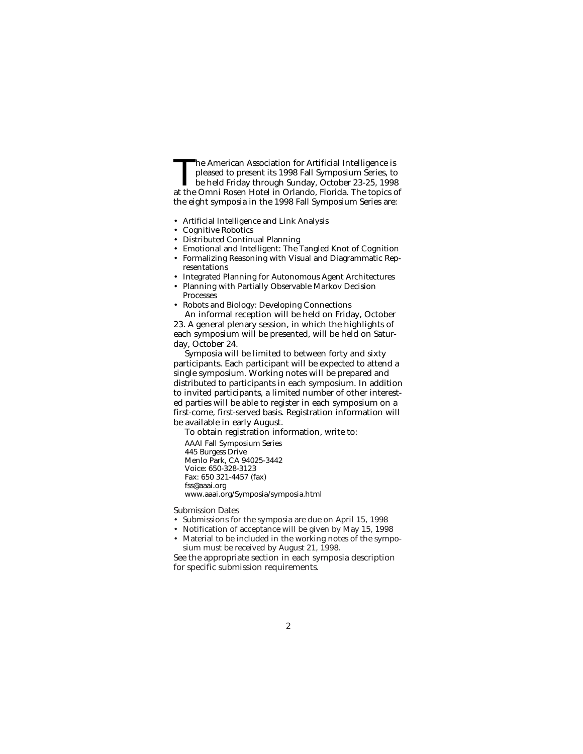The American Association for Artificial Intelligence is<br>pleased to present its 1998 Fall Symposium Series, to<br>be held Friday through Sunday, October 23-25, 1998<br>at the Omni Rosen Hotel in Orlando. Florida. The tonics o pleased to present its 1998 Fall Symposium Series, to at the Omni Rosen Hotel in Orlando, Florida. The topics of the eight symposia in the 1998 Fall Symposium Series are:

- Artificial Intelligence and Link Analysis
- Cognitive Robotics
- Distributed Continual Planning
- Emotional and Intelligent: The Tangled Knot of Cognition
- Formalizing Reasoning with Visual and Diagrammatic Representations
- Integrated Planning for Autonomous Agent Architectures
- Planning with Partially Observable Markov Decision Processes
- Robots and Biology: Developing Connections

An informal reception will be held on Friday, October 23. A general plenary session, in which the highlights of each symposium will be presented, will be held on Saturday, October 24.

Symposia will be limited to between forty and sixty participants. Each participant will be expected to attend a single symposium. Working notes will be prepared and distributed to participants in each symposium. In addition to invited participants, a limited number of other interested parties will be able to register in each symposium on a first-come, first-served basis. Registration information will be available in early August.

To obtain registration information, write to:

AAAI Fall Symposium Series 445 Burgess Drive Menlo Park, CA 94025-3442 Voice: 650-328-3123 Fax: 650 321-4457 (fax) fss@aaai.org www.aaai.org/Symposia/symposia.html

Submission Dates

- Submissions for the symposia are due on April 15, 1998
- Notification of acceptance will be given by May 15, 1998
- Material to be included in the working notes of the symposium must be received by August 21, 1998.

See the appropriate section in each symposia description for specific submission requirements.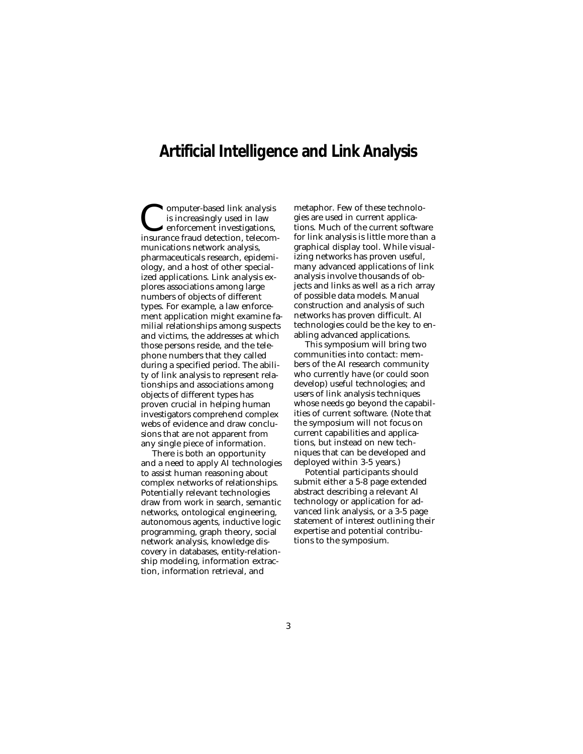### **Artificial Intelligence and Link Analysis**

Computer-based link analysis is increasingly used in law enforcement investigations, insurance fraud detection, telecommunications network analysis, pharmaceuticals research, epidemiology, and a host of other specialized applications. Link analysis explores associations among large numbers of objects of different types. For example, a law enforcement application might examine familial relationships among suspects and victims, the addresses at which those persons reside, and the telephone numbers that they called during a specified period. The ability of link analysis to represent relationships and associations among objects of different types has proven crucial in helping human investigators comprehend complex webs of evidence and draw conclusions that are not apparent from any single piece of information.

There is both an opportunity and a need to apply AI technologies to assist human reasoning about complex networks of relationships. Potentially relevant technologies draw from work in search, semantic networks, ontological engineering, autonomous agents, inductive logic programming, graph theory, social network analysis, knowledge discovery in databases, entity-relationship modeling, information extraction, information retrieval, and

metaphor. Few of these technologies are used in current applications. Much of the current software for link analysis is little more than a graphical display tool. While visualizing networks has proven useful, many advanced applications of link analysis involve thousands of objects and links as well as a rich array of possible data models. Manual construction and analysis of such networks has proven difficult. AI technologies could be the key to enabling advanced applications.

This symposium will bring two communities into contact: members of the AI research community who currently have (or could soon develop) useful technologies; and users of link analysis techniques whose needs go beyond the capabilities of current software. (Note that the symposium will not focus on current capabilities and applications, but instead on new techniques that can be developed and deployed within 3-5 years.)

Potential participants should submit either a 5-8 page extended abstract describing a relevant AI technology or application for advanced link analysis, or a 3-5 page statement of interest outlining their expertise and potential contributions to the symposium.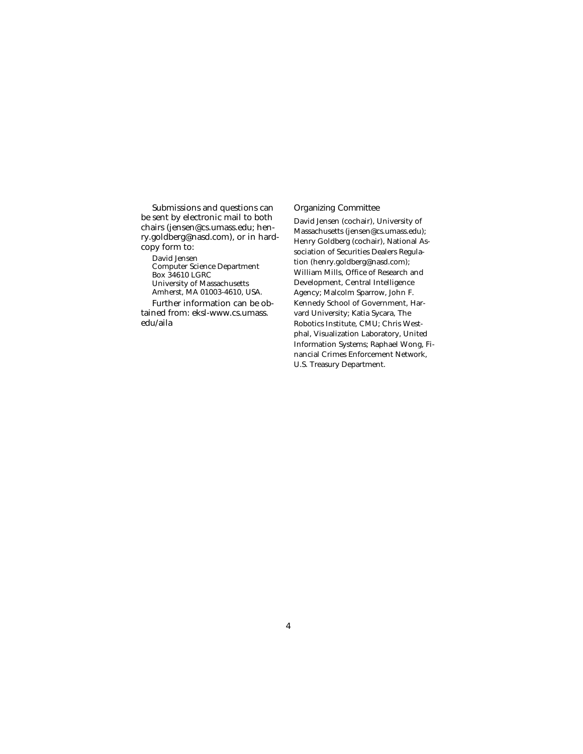Submissions and questions can be sent by electronic mail to both chairs (jensen@cs.umass.edu; henry.goldberg@nasd.com), or in hardcopy form to:

David Jensen Computer Science Department Box 34610 LGRC University of Massachusetts Amherst, MA 01003-4610, USA.

Further information can be obtained from: eksl-www.cs.umass. edu/aila

#### Organizing Committee

David Jensen (cochair), University of Massachusetts (jensen@cs.umass.edu); Henry Goldberg (cochair), National Association of Securities Dealers Regulation (henry.goldberg@nasd.com); William Mills, Office of Research and Development, Central Intelligence Agency; Malcolm Sparrow, John F. Kennedy School of Government, Harvard University; Katia Sycara, The Robotics Institute, CMU; Chris Westphal, Visualization Laboratory, United Information Systems; Raphael Wong, Financial Crimes Enforcement Network, U.S. Treasury Department.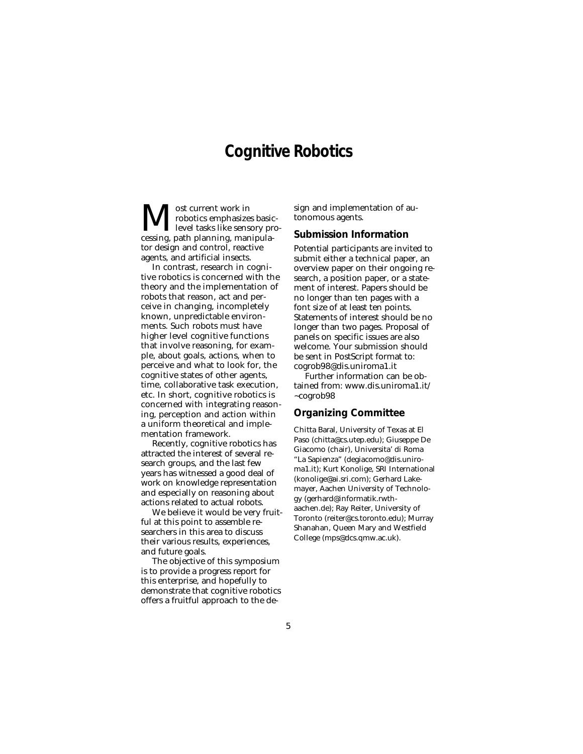### **Cognitive Robotics**

 $\displaystyle\prod_{\text{level tasks like sensory pre}}^{\text{ost current work in}}_{\text{level tasks like sensory pre}}$ robotics emphasizes basiclevel tasks like sensory protor design and control, reactive agents, and artificial insects.

In contrast, research in cognitive robotics is concerned with the theory and the implementation of robots that reason, act and perceive in changing, incompletely known, unpredictable environments. Such robots must have higher level cognitive functions that involve reasoning, for example, about goals, actions, when to perceive and what to look for, the cognitive states of other agents, time, collaborative task execution, etc. In short, cognitive robotics is concerned with integrating reasoning, perception and action within a uniform theoretical and implementation framework.

Recently, cognitive robotics has attracted the interest of several research groups, and the last few years has witnessed a good deal of work on knowledge representation and especially on reasoning about actions related to actual robots.

We believe it would be very fruitful at this point to assemble researchers in this area to discuss their various results, experiences, and future goals.

The objective of this symposium is to provide a progress report for this enterprise, and hopefully to demonstrate that cognitive robotics offers a fruitful approach to the design and implementation of autonomous agents.

#### **Submission Information**

Potential participants are invited to submit either a technical paper, an overview paper on their ongoing research, a position paper, or a statement of interest. Papers should be no longer than ten pages with a font size of at least ten points. Statements of interest should be no longer than two pages. Proposal of panels on specific issues are also welcome. Your submission should be sent in PostScript format to: cogrob98@dis.uniroma1.it

Further information can be obtained from: www.dis.uniroma1.it/ ~cogrob98

#### **Organizing Committee**

Chitta Baral, University of Texas at El Paso (chitta@cs.utep.edu); Giuseppe De Giacomo (chair), Universita' di Roma "La Sapienza" (degiacomo@dis.uniroma1.it); Kurt Konolige, SRI International (konolige@ai.sri.com); Gerhard Lakemayer, Aachen University of Technology (gerhard@informatik.rwthaachen.de); Ray Reiter, University of Toronto (reiter@cs.toronto.edu); Murray Shanahan, Queen Mary and Westfield College (mps@dcs.qmw.ac.uk).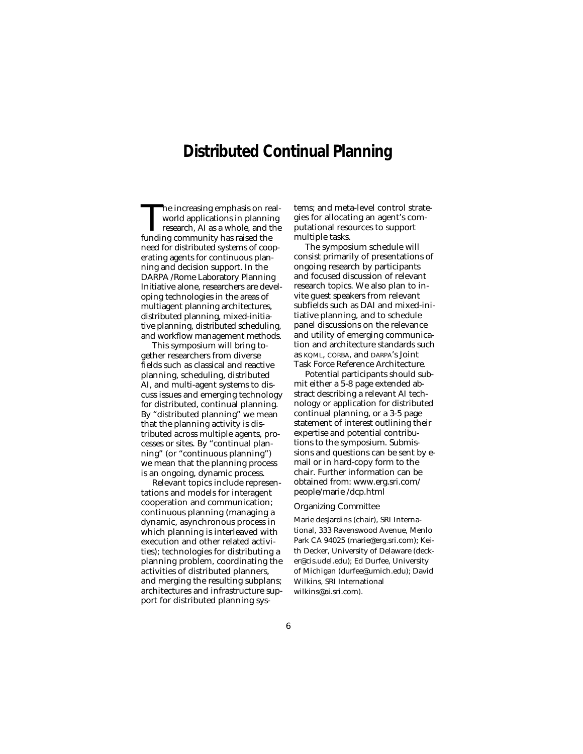## **Distributed Continual Planning**

The increasing emphasis on real-<br>world applications in planning<br>research, AI as a whole, and the<br>funding community has raised the world applications in planning research, AI as a whole, and the funding community has raised the need for distributed systems of cooperating agents for continuous planning and decision support. In the DARPA /Rome Laboratory Planning Initiative alone, researchers are developing technologies in the areas of multiagent planning architectures, distributed planning, mixed-initiative planning, distributed scheduling, and workflow management methods.

This symposium will bring together researchers from diverse fields such as classical and reactive planning, scheduling, distributed AI, and multi-agent systems to discuss issues and emerging technology for distributed, continual planning. By "distributed planning" we mean that the planning activity is distributed across multiple agents, processes or sites. By "continual planning" (or "continuous planning") we mean that the planning process is an ongoing, dynamic process.

Relevant topics include representations and models for interagent cooperation and communication; continuous planning (managing a dynamic, asynchronous process in which planning is interleaved with execution and other related activities); technologies for distributing a planning problem, coordinating the activities of distributed planners, and merging the resulting subplans; architectures and infrastructure support for distributed planning systems; and meta-level control strategies for allocating an agent's computational resources to support multiple tasks.

The symposium schedule will consist primarily of presentations of ongoing research by participants and focused discussion of relevant research topics. We also plan to invite guest speakers from relevant subfields such as DAI and mixed-initiative planning, and to schedule panel discussions on the relevance and utility of emerging communication and architecture standards such as KQML, CORBA, and DARPA's Joint Task Force Reference Architecture.

Potential participants should submit either a 5-8 page extended abstract describing a relevant AI technology or application for distributed continual planning, or a 3-5 page statement of interest outlining their expertise and potential contributions to the symposium. Submissions and questions can be sent by email or in hard-copy form to the chair. Further information can be obtained from: www.erg.sri.com/ people/marie /dcp.html

#### Organizing Committee

Marie desJardins (chair), SRI International, 333 Ravenswood Avenue, Menlo Park CA 94025 (marie@erg.sri.com); Keith Decker, University of Delaware (decker@cis.udel.edu); Ed Durfee, University of Michigan (durfee@umich.edu); David Wilkins, SRI International wilkins@ai.sri.com).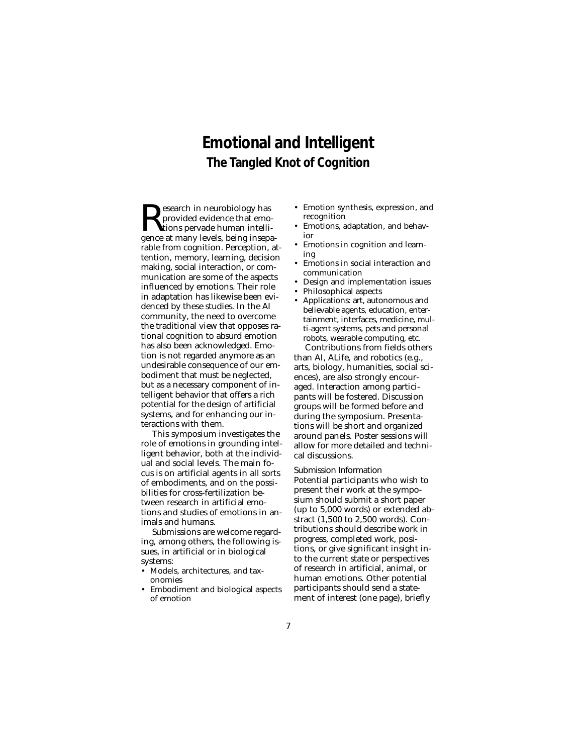## **Emotional and Intelligent The Tangled Knot of Cognition**

 $\sum\limits_{{\rm{perioded}}}$ esearch in neurobiology has<br>provided evidence that emo-<br>gence at many levels, being insena provided evidence that emogence at many levels, being inseparable from cognition. Perception, attention, memory, learning, decision making, social interaction, or communication are some of the aspects influenced by emotions. Their role in adaptation has likewise been evidenced by these studies. In the AI community, the need to overcome the traditional view that opposes rational cognition to absurd emotion has also been acknowledged. Emotion is not regarded anymore as an undesirable consequence of our embodiment that must be neglected, but as a necessary component of intelligent behavior that offers a rich potential for the design of artificial systems, and for enhancing our interactions with them.

This symposium investigates the role of emotions in grounding intelligent behavior, both at the individual and social levels. The main focus is on artificial agents in all sorts of embodiments, and on the possibilities for cross-fertilization between research in artificial emotions and studies of emotions in animals and humans.

Submissions are welcome regarding, among others, the following issues, in artificial or in biological systems:

- Models, architectures, and taxonomies
- Embodiment and biological aspects of emotion
- Emotion synthesis, expression, and recognition
- Emotions, adaptation, and behavior
- Emotions in cognition and learning
- Emotions in social interaction and communication
- Design and implementation issues
- Philosophical aspects
- Applications: art, autonomous and believable agents, education, entertainment, interfaces, medicine, multi-agent systems, pets and personal robots, wearable computing, etc. Contributions from fields others

than AI, ALife, and robotics (e.g., arts, biology, humanities, social sciences), are also strongly encouraged. Interaction among participants will be fostered. Discussion groups will be formed before and during the symposium. Presentations will be short and organized around panels. Poster sessions will allow for more detailed and technical discussions.

Submission Information Potential participants who wish to present their work at the symposium should submit a short paper (up to 5,000 words) or extended abstract (1,500 to 2,500 words). Contributions should describe work in progress, completed work, positions, or give significant insight into the current state or perspectives of research in artificial, animal, or human emotions. Other potential participants should send a statement of interest (one page), briefly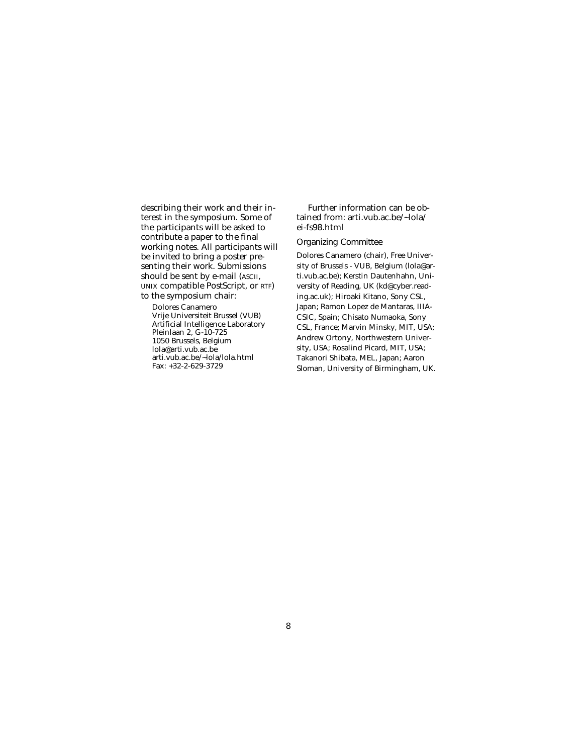describing their work and their interest in the symposium. Some of the participants will be asked to contribute a paper to the final working notes. All participants will be invited to bring a poster presenting their work. Submissions should be sent by e-mail (ASCII, UNIX compatible PostScript, or RTF) to the symposium chair:

Dolores Canamero Vrije Universiteit Brussel (VUB) Artificial Intelligence Laboratory Pleinlaan 2, G-10-725 1050 Brussels, Belgium lola@arti.vub.ac.be arti.vub.ac.be/~lola/lola.html Fax: +32-2-629-3729

Further information can be obtained from: arti.vub.ac.be/~lola/ ei-fs98.html

#### Organizing Committee

Dolores Canamero (chair), Free University of Brussels - VUB, Belgium (lola@arti.vub.ac.be); Kerstin Dautenhahn, University of Reading, UK (kd@cyber.reading.ac.uk); Hiroaki Kitano, Sony CSL, Japan; Ramon Lopez de Mantaras, IIIA-CSIC, Spain; Chisato Numaoka, Sony CSL, France; Marvin Minsky, MIT, USA; Andrew Ortony, Northwestern University, USA; Rosalind Picard, MIT, USA; Takanori Shibata, MEL, Japan; Aaron Sloman, University of Birmingham, UK.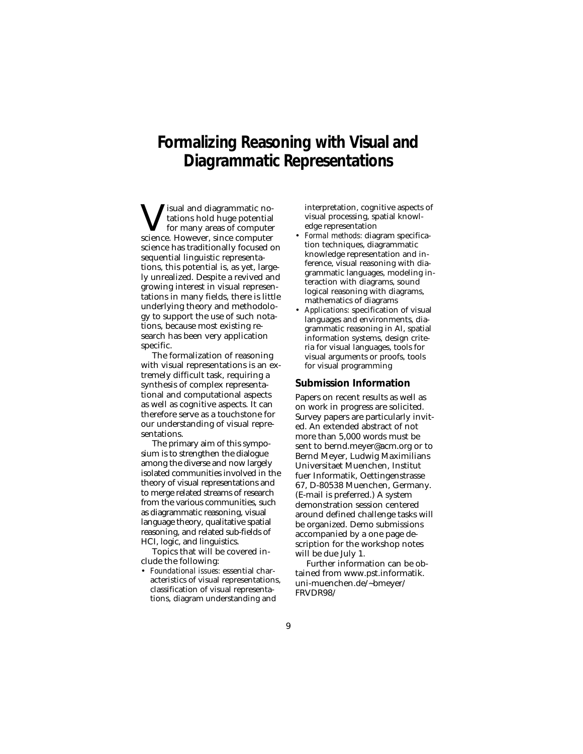## **Formalizing Reasoning with Visual and Diagrammatic Representations**

 $\begin{array}{c} \displaystyle\mathbf{V}\text{isual and diagrammatic no-} \\\text{fors hold huge potential} \\\text{for many areas of computer} \\\text{science. However, since computer} \end{array}$ tations hold huge potential for many areas of computer science. However, since computer science has traditionally focused on sequential linguistic representations, this potential is, as yet, largely unrealized. Despite a revived and growing interest in visual representations in many fields, there is little underlying theory and methodology to support the use of such notations, because most existing research has been very application specific.

The formalization of reasoning with visual representations is an extremely difficult task, requiring a synthesis of complex representational and computational aspects as well as cognitive aspects. It can therefore serve as a touchstone for our understanding of visual representations.

The primary aim of this symposium is to strengthen the dialogue among the diverse and now largely isolated communities involved in the theory of visual representations and to merge related streams of research from the various communities, such as diagrammatic reasoning, visual language theory, qualitative spatial reasoning, and related sub-fields of HCI, logic, and linguistics.

Topics that will be covered include the following:

• *Foundational issues:* essential characteristics of visual representations, classification of visual representations, diagram understanding and

interpretation, cognitive aspects of visual processing, spatial knowledge representation

- *Formal methods:* diagram specification techniques, diagrammatic knowledge representation and inference, visual reasoning with diagrammatic languages, modeling interaction with diagrams, sound logical reasoning with diagrams, mathematics of diagrams
- *Applications:* specification of visual languages and environments, diagrammatic reasoning in AI, spatial information systems, design criteria for visual languages, tools for visual arguments or proofs, tools for visual programming

#### **Submission Information**

Papers on recent results as well as on work in progress are solicited. Survey papers are particularly invited. An extended abstract of not more than 5,000 words must be sent to bernd.meyer@acm.org or to Bernd Meyer, Ludwig Maximilians Universitaet Muenchen, Institut fuer Informatik, Oettingenstrasse 67, D-80538 Muenchen, Germany. (E-mail is preferred.) A system demonstration session centered around defined challenge tasks will be organized. Demo submissions accompanied by a one page description for the workshop notes will be due July 1.

Further information can be obtained from www.pst.informatik. uni-muenchen.de/~bmeyer/ FRVDR98/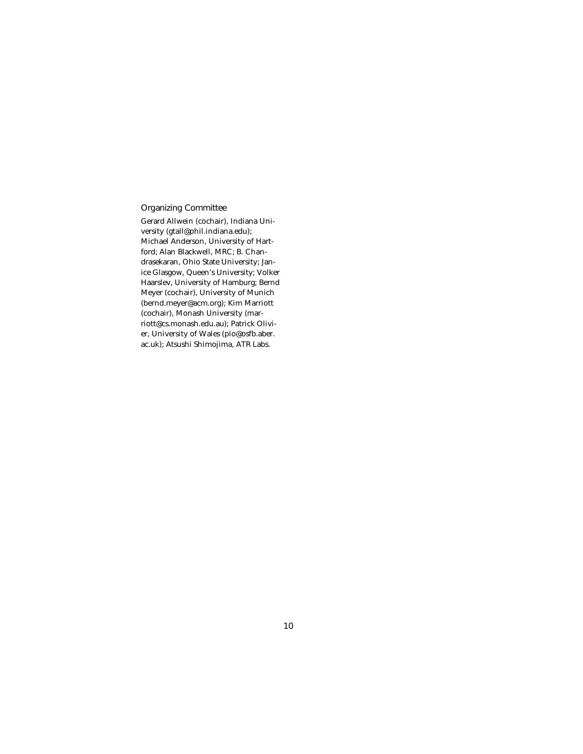### Organizing Committee

Gerard Allwein (cochair), Indiana University (gtall@phil.indiana.edu); Michael Anderson, University of Hartford; Alan Blackwell, MRC; B. Chandrasekaran, Ohio State University; Janice Glasgow, Queen's University; Volker Haarslev, University of Hamburg; Bernd Meyer (cochair), University of Munich (bernd.meyer@acm.org); Kim Marriott (cochair), Monash University (marriott@cs.monash.edu.au); Patrick Olivier, University of Wales (plo@osfb.aber. ac.uk); Atsushi Shimojima, ATR Labs.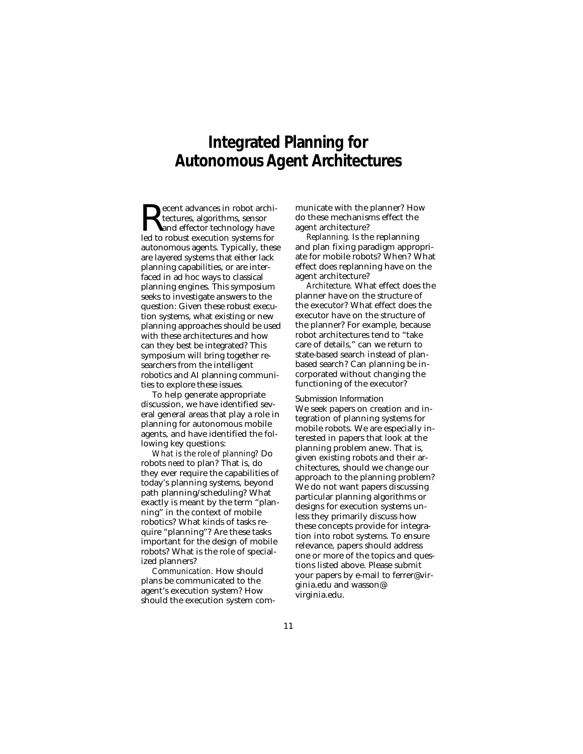## **Integrated Planning for Autonomous Agent Architectures**

 $\sum_{\text{ecent advances in robot archi-  
tectures, algorithms, sensor  
lead for robust execution systems for$ tectures, algorithms, sensor led to robust execution systems for autonomous agents. Typically, these are layered systems that either lack planning capabilities, or are interfaced in ad hoc ways to classical planning engines. This symposium seeks to investigate answers to the question: Given these robust execution systems, what existing or new planning approaches should be used with these architectures and how can they best be integrated? This symposium will bring together researchers from the intelligent robotics and AI planning communities to explore these issues.

To help generate appropriate discussion, we have identified several general areas that play a role in planning for autonomous mobile agents, and have identified the following key questions:

*What is the role of planning?* Do robots *need* to plan? That is, do they ever require the capabilities of today's planning systems, beyond path planning/scheduling? What exactly is meant by the term "planning" in the context of mobile robotics? What kinds of tasks require "planning"? Are these tasks important for the design of mobile robots? What is the role of specialized planners?

*Communication.* How should plans be communicated to the agent's execution system? How should the execution system communicate with the planner? How do these mechanisms effect the agent architecture?

*Replanning.* Is the replanning and plan fixing paradigm appropriate for mobile robots? When? What effect does replanning have on the agent architecture?

*Architecture.* What effect does the planner have on the structure of the executor? What effect does the executor have on the structure of the planner? For example, because robot architectures tend to "take care of details," can we return to state-based search instead of planbased search? Can planning be incorporated without changing the functioning of the executor?

Submission Information We seek papers on creation and integration of planning systems for mobile robots. We are especially interested in papers that look at the planning problem anew. That is, given existing robots and their architectures, should we change our approach to the planning problem? We do not want papers discussing particular planning algorithms or designs for execution systems unless they primarily discuss how these concepts provide for integration into robot systems. To ensure relevance, papers should address one or more of the topics and questions listed above. Please submit your papers by e-mail to ferrer@virginia.edu and wasson@ virginia.edu.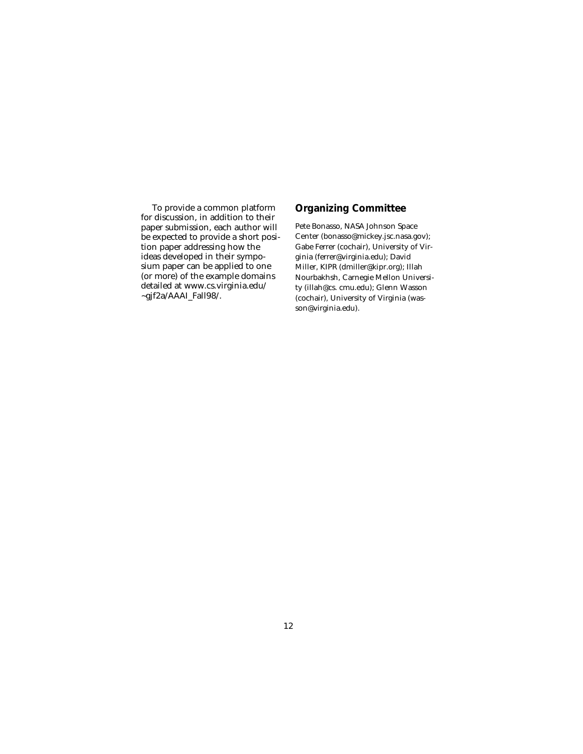To provide a common platform for discussion, in addition to their paper submission, each author will be expected to provide a short position paper addressing how the ideas developed in their symposium paper can be applied to one (or more) of the example domains detailed at www.cs.virginia.edu/ ~gjf2a/AAAI\_Fall98/.

### **Organizing Committee**

Pete Bonasso, NASA Johnson Space Center (bonasso@mickey.jsc.nasa.gov); Gabe Ferrer (cochair), University of Virginia (ferrer@virginia.edu); David Miller, KIPR (dmiller@kipr.org); Illah Nourbakhsh, Carnegie Mellon University (illah@cs. cmu.edu); Glenn Wasson (cochair), University of Virginia (wasson@virginia.edu).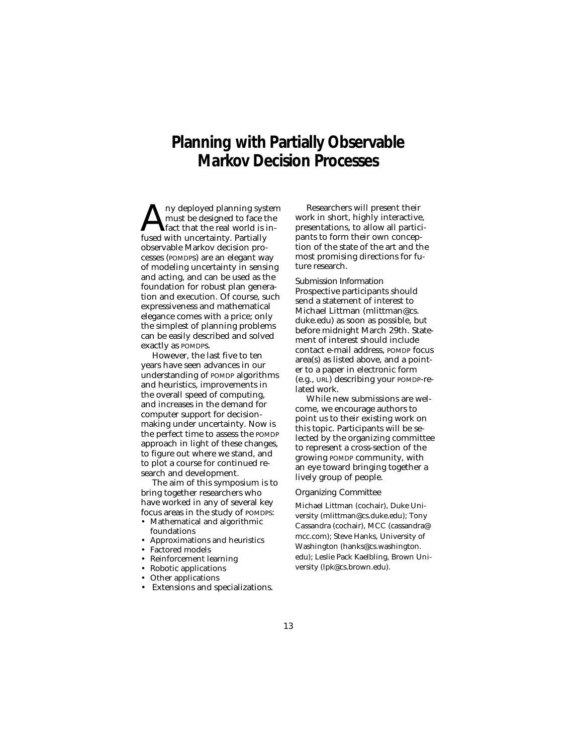## **Planning with Partially Observable Markov Decision Processes**

 $\sum_{\text{first}}^{\text{ny deployed planning system}}$ <br>and  $\sum_{\text{first that the real world is in-}$ <br>fused with uncertainty. Partially must be designed to face the fact that the real world is infused with uncertainty. Partially observable Markov decision processes (POMDPs) are an elegant way of modeling uncertainty in sensing and acting, and can be used as the foundation for robust plan generation and execution. Of course, such expressiveness and mathematical elegance comes with a price; only the simplest of planning problems can be easily described and solved exactly as POMDPs.

However, the last five to ten years have seen advances in our understanding of POMDP algorithms and heuristics, improvements in the overall speed of computing, and increases in the demand for computer support for decisionmaking under uncertainty. Now is the perfect time to assess the POMDP approach in light of these changes, to figure out where we stand, and to plot a course for continued research and development.

The aim of this symposium is to bring together researchers who have worked in any of several key focus areas in the study of POMDPS:

- Mathematical and algorithmic foundations
- Approximations and heuristics
- Factored models
- Reinforcement learning
- Robotic applications
- Other applications
- Extensions and specializations.

Researchers will present their work in short, highly interactive, presentations, to allow all participants to form their own conception of the state of the art and the most promising directions for future research.

Submission Information Prospective participants should send a statement of interest to Michael Littman (mlittman@cs. duke.edu) as soon as possible, but before midnight March 29th. Statement of interest should include contact e-mail address, POMDP focus area(s) as listed above, and a pointer to a paper in electronic form (e.g., URL) describing your POMDP-related work.

While new submissions are welcome, we encourage authors to point us to their existing work on this topic. Participants will be selected by the organizing committee to represent a cross-section of the growing POMDP community, with an eye toward bringing together a lively group of people.

#### Organizing Committee

Michael Littman (cochair), Duke University (mlittman@cs.duke.edu); Tony Cassandra (cochair), MCC (cassandra@ mcc.com); Steve Hanks, University of Washington (hanks@cs.washington. edu); Leslie Pack Kaelbling, Brown University (lpk@cs.brown.edu).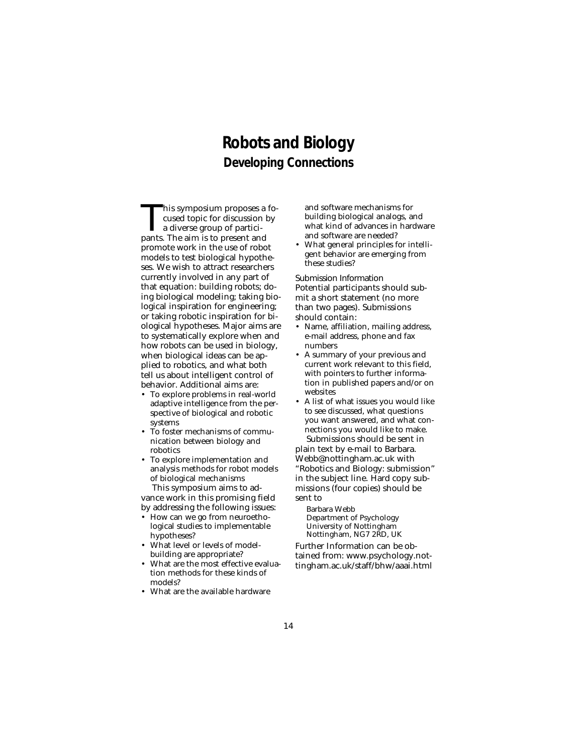### **Robots and Biology Developing Connections**

This symposium proposes a fo-<br>cused topic for discussion by<br>a diverse group of partici-<br>pants. The aim is to present and cused topic for discussion by a diverse group of participants. The aim is to present and promote work in the use of robot models to test biological hypotheses. We wish to attract researchers currently involved in any part of that equation: building robots; doing biological modeling; taking biological inspiration for engineering; or taking robotic inspiration for biological hypotheses. Major aims are to systematically explore when and how robots can be used in biology, when biological ideas can be applied to robotics, and what both tell us about intelligent control of behavior. Additional aims are:

- To explore problems in real-world adaptive intelligence from the perspective of biological and robotic systems
- To foster mechanisms of communication between biology and robotics
- To explore implementation and analysis methods for robot models of biological mechanisms This symposium aims to ad-

vance work in this promising field by addressing the following issues:

- How can we go from neuroethological studies to implementable hypotheses?
- What level or levels of modelbuilding are appropriate?
- What are the most effective evaluation methods for these kinds of models?
- What are the available hardware

and software mechanisms for building biological analogs, and what kind of advances in hardware and software are needed?

• What general principles for intelligent behavior are emerging from these studies?

Submission Information Potential participants should submit a short statement (no more than two pages). Submissions should contain:

- Name, affiliation, mailing address, e-mail address, phone and fax numbers
- A summary of your previous and current work relevant to this field, with pointers to further information in published papers and/or on websites
- A list of what issues you would like to see discussed, what questions you want answered, and what connections you would like to make. Submissions should be sent in

plain text by e-mail to Barbara. Webb@nottingham.ac.uk with "Robotics and Biology: submission" in the subject line. Hard copy submissions (four copies) should be sent to

Barbara Webb Department of Psychology University of Nottingham Nottingham, NG7 2RD, UK

Further Information can be obtained from: www.psychology.nottingham.ac.uk/staff/bhw/aaai.html